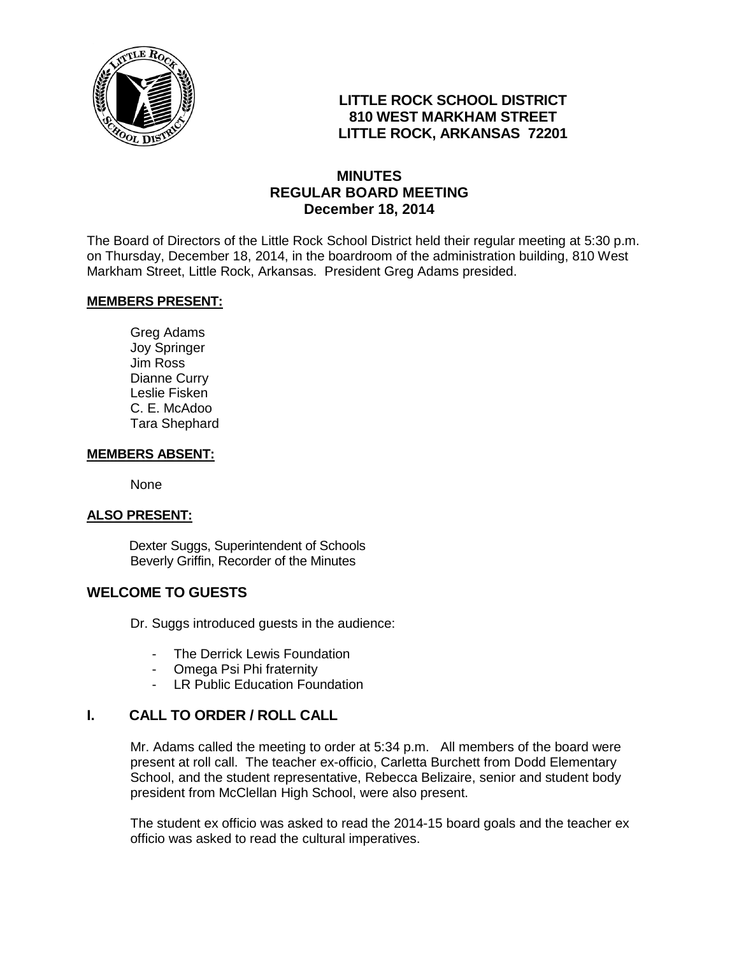

## **LITTLE ROCK SCHOOL DISTRICT 810 WEST MARKHAM STREET LITTLE ROCK, ARKANSAS 72201**

## **MINUTES REGULAR BOARD MEETING December 18, 2014**

The Board of Directors of the Little Rock School District held their regular meeting at 5:30 p.m. on Thursday, December 18, 2014, in the boardroom of the administration building, 810 West Markham Street, Little Rock, Arkansas. President Greg Adams presided.

#### **MEMBERS PRESENT:**

Greg Adams Joy Springer Jim Ross Dianne Curry Leslie Fisken C. E. McAdoo Tara Shephard

#### **MEMBERS ABSENT:**

None

#### **ALSO PRESENT:**

 Dexter Suggs, Superintendent of Schools Beverly Griffin, Recorder of the Minutes

#### **WELCOME TO GUESTS**

Dr. Suggs introduced guests in the audience:

- The Derrick Lewis Foundation
- Omega Psi Phi fraternity
- LR Public Education Foundation

### **I. CALL TO ORDER / ROLL CALL**

Mr. Adams called the meeting to order at 5:34 p.m. All members of the board were present at roll call. The teacher ex-officio, Carletta Burchett from Dodd Elementary School, and the student representative, Rebecca Belizaire, senior and student body president from McClellan High School, were also present.

The student ex officio was asked to read the 2014-15 board goals and the teacher ex officio was asked to read the cultural imperatives.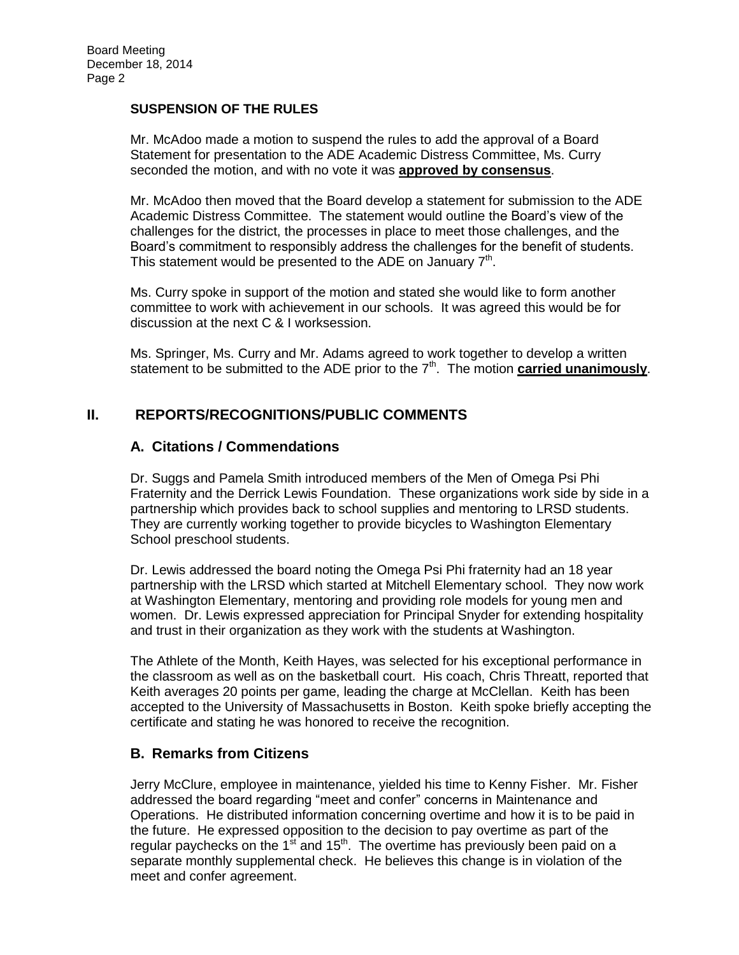#### **SUSPENSION OF THE RULES**

Mr. McAdoo made a motion to suspend the rules to add the approval of a Board Statement for presentation to the ADE Academic Distress Committee, Ms. Curry seconded the motion, and with no vote it was **approved by consensus**.

Mr. McAdoo then moved that the Board develop a statement for submission to the ADE Academic Distress Committee. The statement would outline the Board's view of the challenges for the district, the processes in place to meet those challenges, and the Board's commitment to responsibly address the challenges for the benefit of students. This statement would be presented to the ADE on January  $7<sup>th</sup>$ .

Ms. Curry spoke in support of the motion and stated she would like to form another committee to work with achievement in our schools. It was agreed this would be for discussion at the next C & I worksession.

Ms. Springer, Ms. Curry and Mr. Adams agreed to work together to develop a written statement to be submitted to the ADE prior to the 7<sup>th</sup>. The motion **carried unanimously**.

#### **II. REPORTS/RECOGNITIONS/PUBLIC COMMENTS**

#### **A. Citations / Commendations**

Dr. Suggs and Pamela Smith introduced members of the Men of Omega Psi Phi Fraternity and the Derrick Lewis Foundation. These organizations work side by side in a partnership which provides back to school supplies and mentoring to LRSD students. They are currently working together to provide bicycles to Washington Elementary School preschool students.

Dr. Lewis addressed the board noting the Omega Psi Phi fraternity had an 18 year partnership with the LRSD which started at Mitchell Elementary school. They now work at Washington Elementary, mentoring and providing role models for young men and women. Dr. Lewis expressed appreciation for Principal Snyder for extending hospitality and trust in their organization as they work with the students at Washington.

The Athlete of the Month, Keith Hayes, was selected for his exceptional performance in the classroom as well as on the basketball court. His coach, Chris Threatt, reported that Keith averages 20 points per game, leading the charge at McClellan. Keith has been accepted to the University of Massachusetts in Boston. Keith spoke briefly accepting the certificate and stating he was honored to receive the recognition.

#### **B. Remarks from Citizens**

Jerry McClure, employee in maintenance, yielded his time to Kenny Fisher. Mr. Fisher addressed the board regarding "meet and confer" concerns in Maintenance and Operations. He distributed information concerning overtime and how it is to be paid in the future. He expressed opposition to the decision to pay overtime as part of the regular paychecks on the 1<sup>st</sup> and 15<sup>th</sup>. The overtime has previously been paid on a separate monthly supplemental check. He believes this change is in violation of the meet and confer agreement.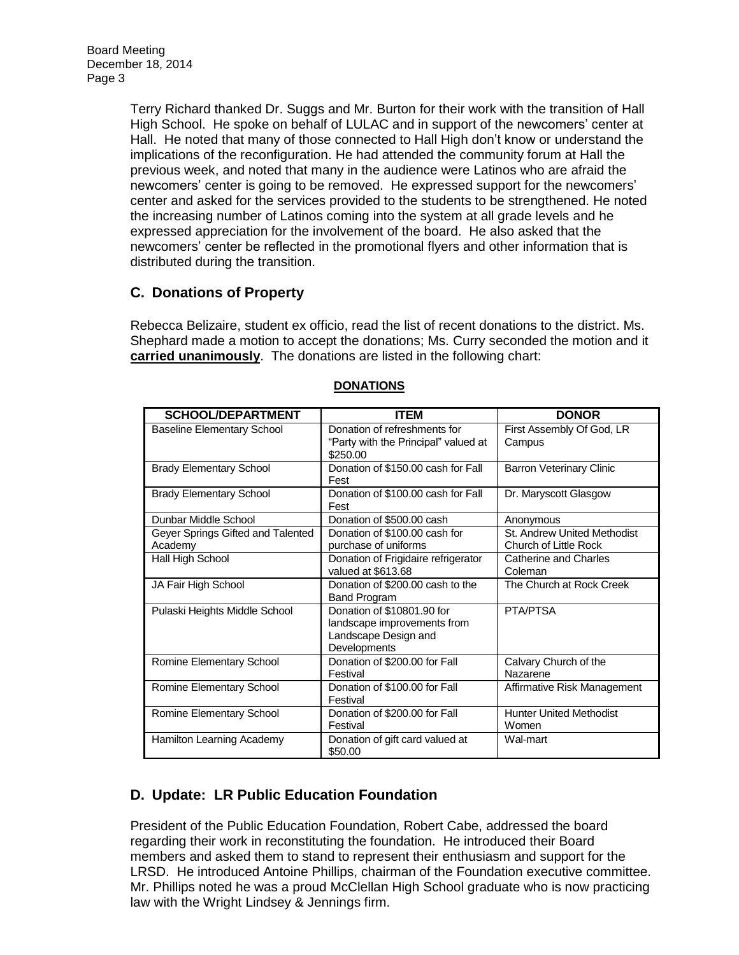Board Meeting December 18, 2014 Page 3

> Terry Richard thanked Dr. Suggs and Mr. Burton for their work with the transition of Hall High School. He spoke on behalf of LULAC and in support of the newcomers' center at Hall. He noted that many of those connected to Hall High don't know or understand the implications of the reconfiguration. He had attended the community forum at Hall the previous week, and noted that many in the audience were Latinos who are afraid the newcomers' center is going to be removed. He expressed support for the newcomers' center and asked for the services provided to the students to be strengthened. He noted the increasing number of Latinos coming into the system at all grade levels and he expressed appreciation for the involvement of the board. He also asked that the newcomers' center be reflected in the promotional flyers and other information that is distributed during the transition.

## **C. Donations of Property**

Rebecca Belizaire, student ex officio, read the list of recent donations to the district. Ms. Shephard made a motion to accept the donations; Ms. Curry seconded the motion and it **carried unanimously**. The donations are listed in the following chart:

| <b>SCHOOL/DEPARTMENT</b>                     | <b>ITEM</b>                                                                                       | <b>DONOR</b>                                         |
|----------------------------------------------|---------------------------------------------------------------------------------------------------|------------------------------------------------------|
| <b>Baseline Elementary School</b>            | Donation of refreshments for<br>"Party with the Principal" valued at<br>\$250.00                  | First Assembly Of God, LR<br>Campus                  |
| <b>Brady Elementary School</b>               | Donation of \$150.00 cash for Fall<br>Fest                                                        | <b>Barron Veterinary Clinic</b>                      |
| <b>Brady Elementary School</b>               | Donation of \$100.00 cash for Fall<br>Fest                                                        | Dr. Maryscott Glasgow                                |
| Dunbar Middle School                         | Donation of \$500.00 cash                                                                         | Anonymous                                            |
| Geyer Springs Gifted and Talented<br>Academy | Donation of \$100.00 cash for<br>purchase of uniforms                                             | St. Andrew United Methodist<br>Church of Little Rock |
| Hall High School                             | Donation of Frigidaire refrigerator<br>valued at \$613.68                                         | Catherine and Charles<br>Coleman                     |
| JA Fair High School                          | Donation of \$200.00 cash to the<br><b>Band Program</b>                                           | The Church at Rock Creek                             |
| Pulaski Heights Middle School                | Donation of \$10801.90 for<br>landscape improvements from<br>Landscape Design and<br>Developments | PTA/PTSA                                             |
| Romine Elementary School                     | Donation of \$200.00 for Fall<br>Festival                                                         | Calvary Church of the<br>Nazarene                    |
| Romine Elementary School                     | Donation of \$100.00 for Fall<br>Festival                                                         | Affirmative Risk Management                          |
| Romine Elementary School                     | Donation of \$200,00 for Fall<br>Festival                                                         | <b>Hunter United Methodist</b><br>Women              |
| Hamilton Learning Academy                    | Donation of gift card valued at<br>\$50.00                                                        | Wal-mart                                             |

#### **DONATIONS**

# **D. Update: LR Public Education Foundation**

President of the Public Education Foundation, Robert Cabe, addressed the board regarding their work in reconstituting the foundation. He introduced their Board members and asked them to stand to represent their enthusiasm and support for the LRSD. He introduced Antoine Phillips, chairman of the Foundation executive committee. Mr. Phillips noted he was a proud McClellan High School graduate who is now practicing law with the Wright Lindsey & Jennings firm.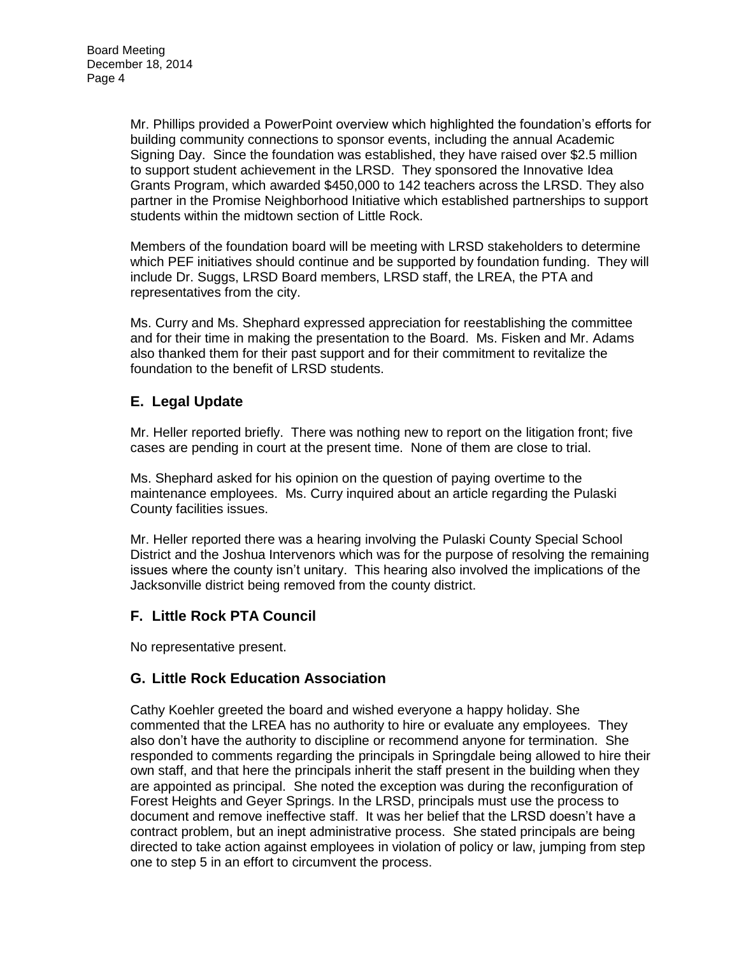Mr. Phillips provided a PowerPoint overview which highlighted the foundation's efforts for building community connections to sponsor events, including the annual Academic Signing Day. Since the foundation was established, they have raised over \$2.5 million to support student achievement in the LRSD. They sponsored the Innovative Idea Grants Program, which awarded \$450,000 to 142 teachers across the LRSD. They also partner in the Promise Neighborhood Initiative which established partnerships to support students within the midtown section of Little Rock.

Members of the foundation board will be meeting with LRSD stakeholders to determine which PEF initiatives should continue and be supported by foundation funding. They will include Dr. Suggs, LRSD Board members, LRSD staff, the LREA, the PTA and representatives from the city.

Ms. Curry and Ms. Shephard expressed appreciation for reestablishing the committee and for their time in making the presentation to the Board. Ms. Fisken and Mr. Adams also thanked them for their past support and for their commitment to revitalize the foundation to the benefit of LRSD students.

## **E. Legal Update**

Mr. Heller reported briefly. There was nothing new to report on the litigation front; five cases are pending in court at the present time. None of them are close to trial.

Ms. Shephard asked for his opinion on the question of paying overtime to the maintenance employees. Ms. Curry inquired about an article regarding the Pulaski County facilities issues.

Mr. Heller reported there was a hearing involving the Pulaski County Special School District and the Joshua Intervenors which was for the purpose of resolving the remaining issues where the county isn't unitary. This hearing also involved the implications of the Jacksonville district being removed from the county district.

### **F. Little Rock PTA Council**

No representative present.

### **G. Little Rock Education Association**

Cathy Koehler greeted the board and wished everyone a happy holiday. She commented that the LREA has no authority to hire or evaluate any employees. They also don't have the authority to discipline or recommend anyone for termination. She responded to comments regarding the principals in Springdale being allowed to hire their own staff, and that here the principals inherit the staff present in the building when they are appointed as principal. She noted the exception was during the reconfiguration of Forest Heights and Geyer Springs. In the LRSD, principals must use the process to document and remove ineffective staff. It was her belief that the LRSD doesn't have a contract problem, but an inept administrative process. She stated principals are being directed to take action against employees in violation of policy or law, jumping from step one to step 5 in an effort to circumvent the process.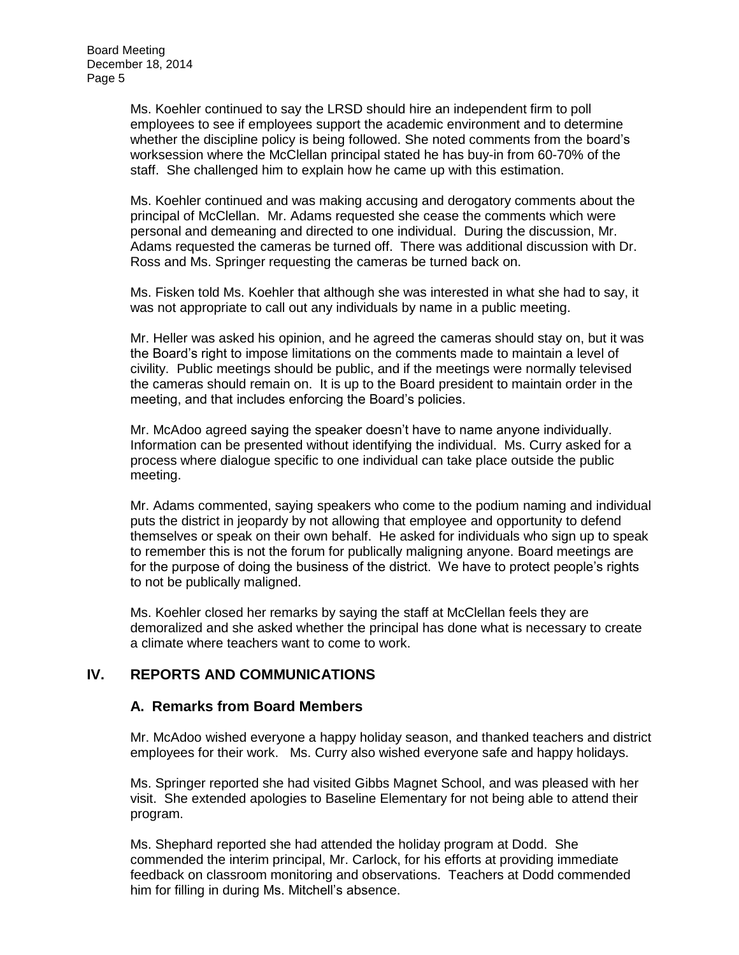Ms. Koehler continued to say the LRSD should hire an independent firm to poll employees to see if employees support the academic environment and to determine whether the discipline policy is being followed. She noted comments from the board's worksession where the McClellan principal stated he has buy-in from 60-70% of the staff. She challenged him to explain how he came up with this estimation.

Ms. Koehler continued and was making accusing and derogatory comments about the principal of McClellan. Mr. Adams requested she cease the comments which were personal and demeaning and directed to one individual. During the discussion, Mr. Adams requested the cameras be turned off. There was additional discussion with Dr. Ross and Ms. Springer requesting the cameras be turned back on.

Ms. Fisken told Ms. Koehler that although she was interested in what she had to say, it was not appropriate to call out any individuals by name in a public meeting.

Mr. Heller was asked his opinion, and he agreed the cameras should stay on, but it was the Board's right to impose limitations on the comments made to maintain a level of civility. Public meetings should be public, and if the meetings were normally televised the cameras should remain on. It is up to the Board president to maintain order in the meeting, and that includes enforcing the Board's policies.

Mr. McAdoo agreed saying the speaker doesn't have to name anyone individually. Information can be presented without identifying the individual. Ms. Curry asked for a process where dialogue specific to one individual can take place outside the public meeting.

Mr. Adams commented, saying speakers who come to the podium naming and individual puts the district in jeopardy by not allowing that employee and opportunity to defend themselves or speak on their own behalf. He asked for individuals who sign up to speak to remember this is not the forum for publically maligning anyone. Board meetings are for the purpose of doing the business of the district. We have to protect people's rights to not be publically maligned.

Ms. Koehler closed her remarks by saying the staff at McClellan feels they are demoralized and she asked whether the principal has done what is necessary to create a climate where teachers want to come to work.

### **IV. REPORTS AND COMMUNICATIONS**

#### **A. Remarks from Board Members**

Mr. McAdoo wished everyone a happy holiday season, and thanked teachers and district employees for their work. Ms. Curry also wished everyone safe and happy holidays.

Ms. Springer reported she had visited Gibbs Magnet School, and was pleased with her visit. She extended apologies to Baseline Elementary for not being able to attend their program.

Ms. Shephard reported she had attended the holiday program at Dodd. She commended the interim principal, Mr. Carlock, for his efforts at providing immediate feedback on classroom monitoring and observations. Teachers at Dodd commended him for filling in during Ms. Mitchell's absence.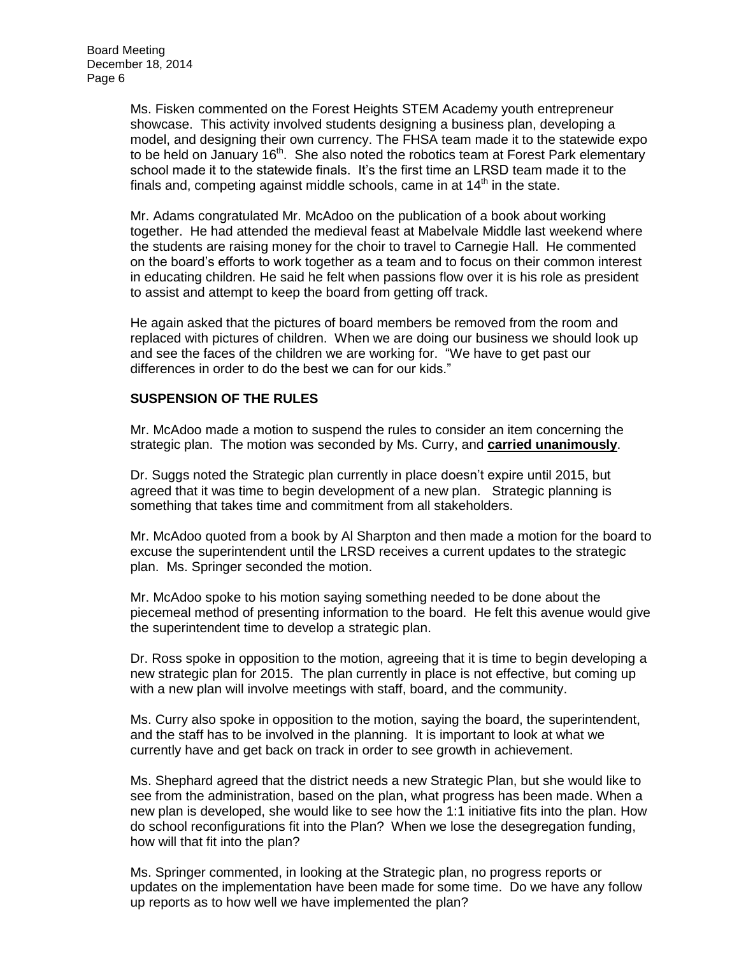Ms. Fisken commented on the Forest Heights STEM Academy youth entrepreneur showcase. This activity involved students designing a business plan, developing a model, and designing their own currency. The FHSA team made it to the statewide expo to be held on January 16<sup>th</sup>. She also noted the robotics team at Forest Park elementary school made it to the statewide finals. It's the first time an LRSD team made it to the finals and, competing against middle schools, came in at  $14<sup>th</sup>$  in the state.

Mr. Adams congratulated Mr. McAdoo on the publication of a book about working together. He had attended the medieval feast at Mabelvale Middle last weekend where the students are raising money for the choir to travel to Carnegie Hall. He commented on the board's efforts to work together as a team and to focus on their common interest in educating children. He said he felt when passions flow over it is his role as president to assist and attempt to keep the board from getting off track.

He again asked that the pictures of board members be removed from the room and replaced with pictures of children. When we are doing our business we should look up and see the faces of the children we are working for. "We have to get past our differences in order to do the best we can for our kids."

#### **SUSPENSION OF THE RULES**

Mr. McAdoo made a motion to suspend the rules to consider an item concerning the strategic plan. The motion was seconded by Ms. Curry, and **carried unanimously**.

Dr. Suggs noted the Strategic plan currently in place doesn't expire until 2015, but agreed that it was time to begin development of a new plan. Strategic planning is something that takes time and commitment from all stakeholders.

Mr. McAdoo quoted from a book by Al Sharpton and then made a motion for the board to excuse the superintendent until the LRSD receives a current updates to the strategic plan. Ms. Springer seconded the motion.

Mr. McAdoo spoke to his motion saying something needed to be done about the piecemeal method of presenting information to the board. He felt this avenue would give the superintendent time to develop a strategic plan.

Dr. Ross spoke in opposition to the motion, agreeing that it is time to begin developing a new strategic plan for 2015. The plan currently in place is not effective, but coming up with a new plan will involve meetings with staff, board, and the community.

Ms. Curry also spoke in opposition to the motion, saying the board, the superintendent, and the staff has to be involved in the planning. It is important to look at what we currently have and get back on track in order to see growth in achievement.

Ms. Shephard agreed that the district needs a new Strategic Plan, but she would like to see from the administration, based on the plan, what progress has been made. When a new plan is developed, she would like to see how the 1:1 initiative fits into the plan. How do school reconfigurations fit into the Plan? When we lose the desegregation funding, how will that fit into the plan?

Ms. Springer commented, in looking at the Strategic plan, no progress reports or updates on the implementation have been made for some time. Do we have any follow up reports as to how well we have implemented the plan?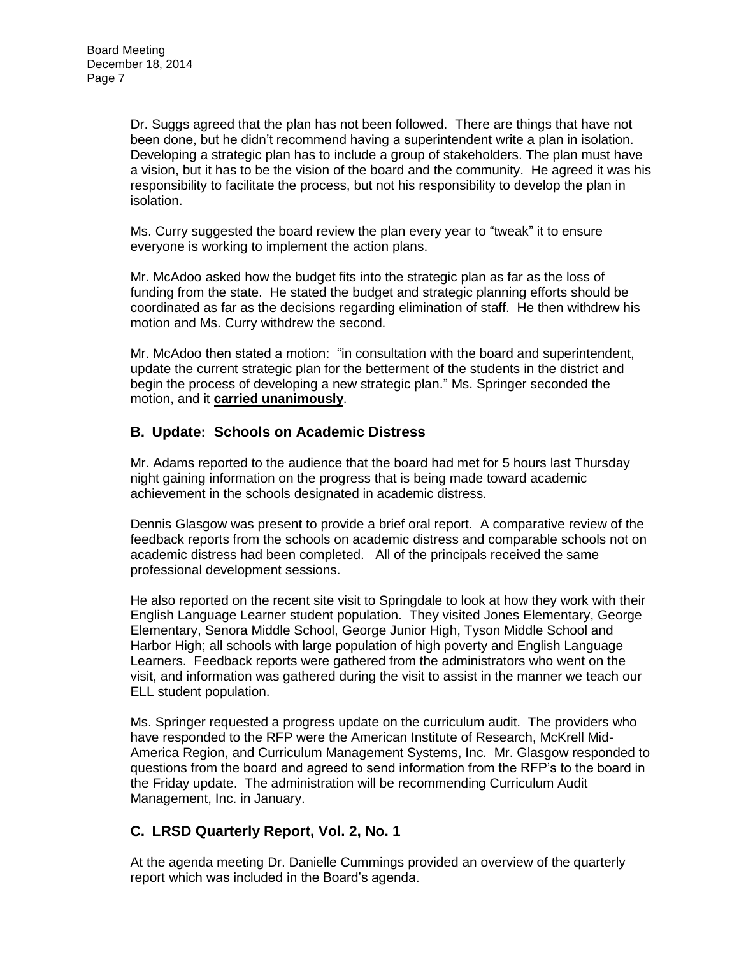Dr. Suggs agreed that the plan has not been followed. There are things that have not been done, but he didn't recommend having a superintendent write a plan in isolation. Developing a strategic plan has to include a group of stakeholders. The plan must have a vision, but it has to be the vision of the board and the community. He agreed it was his responsibility to facilitate the process, but not his responsibility to develop the plan in isolation.

Ms. Curry suggested the board review the plan every year to "tweak" it to ensure everyone is working to implement the action plans.

Mr. McAdoo asked how the budget fits into the strategic plan as far as the loss of funding from the state. He stated the budget and strategic planning efforts should be coordinated as far as the decisions regarding elimination of staff. He then withdrew his motion and Ms. Curry withdrew the second.

Mr. McAdoo then stated a motion: "in consultation with the board and superintendent, update the current strategic plan for the betterment of the students in the district and begin the process of developing a new strategic plan." Ms. Springer seconded the motion, and it **carried unanimously**.

### **B. Update: Schools on Academic Distress**

Mr. Adams reported to the audience that the board had met for 5 hours last Thursday night gaining information on the progress that is being made toward academic achievement in the schools designated in academic distress.

Dennis Glasgow was present to provide a brief oral report. A comparative review of the feedback reports from the schools on academic distress and comparable schools not on academic distress had been completed. All of the principals received the same professional development sessions.

He also reported on the recent site visit to Springdale to look at how they work with their English Language Learner student population. They visited Jones Elementary, George Elementary, Senora Middle School, George Junior High, Tyson Middle School and Harbor High; all schools with large population of high poverty and English Language Learners. Feedback reports were gathered from the administrators who went on the visit, and information was gathered during the visit to assist in the manner we teach our ELL student population.

Ms. Springer requested a progress update on the curriculum audit. The providers who have responded to the RFP were the American Institute of Research, McKrell Mid-America Region, and Curriculum Management Systems, Inc. Mr. Glasgow responded to questions from the board and agreed to send information from the RFP's to the board in the Friday update. The administration will be recommending Curriculum Audit Management, Inc. in January.

# **C. LRSD Quarterly Report, Vol. 2, No. 1**

At the agenda meeting Dr. Danielle Cummings provided an overview of the quarterly report which was included in the Board's agenda.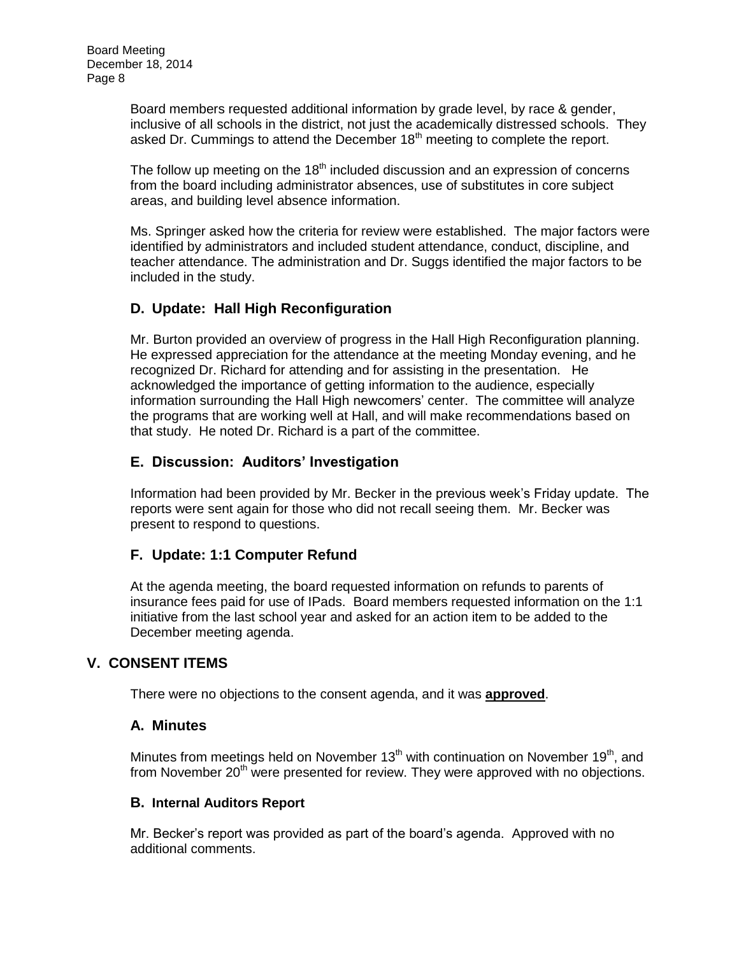Board members requested additional information by grade level, by race & gender, inclusive of all schools in the district, not just the academically distressed schools. They asked Dr. Cummings to attend the December  $18<sup>th</sup>$  meeting to complete the report.

The follow up meeting on the  $18<sup>th</sup>$  included discussion and an expression of concerns from the board including administrator absences, use of substitutes in core subject areas, and building level absence information.

Ms. Springer asked how the criteria for review were established. The major factors were identified by administrators and included student attendance, conduct, discipline, and teacher attendance. The administration and Dr. Suggs identified the major factors to be included in the study.

## **D. Update: Hall High Reconfiguration**

Mr. Burton provided an overview of progress in the Hall High Reconfiguration planning. He expressed appreciation for the attendance at the meeting Monday evening, and he recognized Dr. Richard for attending and for assisting in the presentation. He acknowledged the importance of getting information to the audience, especially information surrounding the Hall High newcomers' center. The committee will analyze the programs that are working well at Hall, and will make recommendations based on that study. He noted Dr. Richard is a part of the committee.

### **E. Discussion: Auditors' Investigation**

Information had been provided by Mr. Becker in the previous week's Friday update. The reports were sent again for those who did not recall seeing them. Mr. Becker was present to respond to questions.

### **F. Update: 1:1 Computer Refund**

At the agenda meeting, the board requested information on refunds to parents of insurance fees paid for use of IPads. Board members requested information on the 1:1 initiative from the last school year and asked for an action item to be added to the December meeting agenda.

### **V. CONSENT ITEMS**

There were no objections to the consent agenda, and it was **approved**.

### **A. Minutes**

Minutes from meetings held on November 13<sup>th</sup> with continuation on November 19<sup>th</sup>, and from November  $20<sup>th</sup>$  were presented for review. They were approved with no objections.

#### **B. Internal Auditors Report**

Mr. Becker's report was provided as part of the board's agenda. Approved with no additional comments.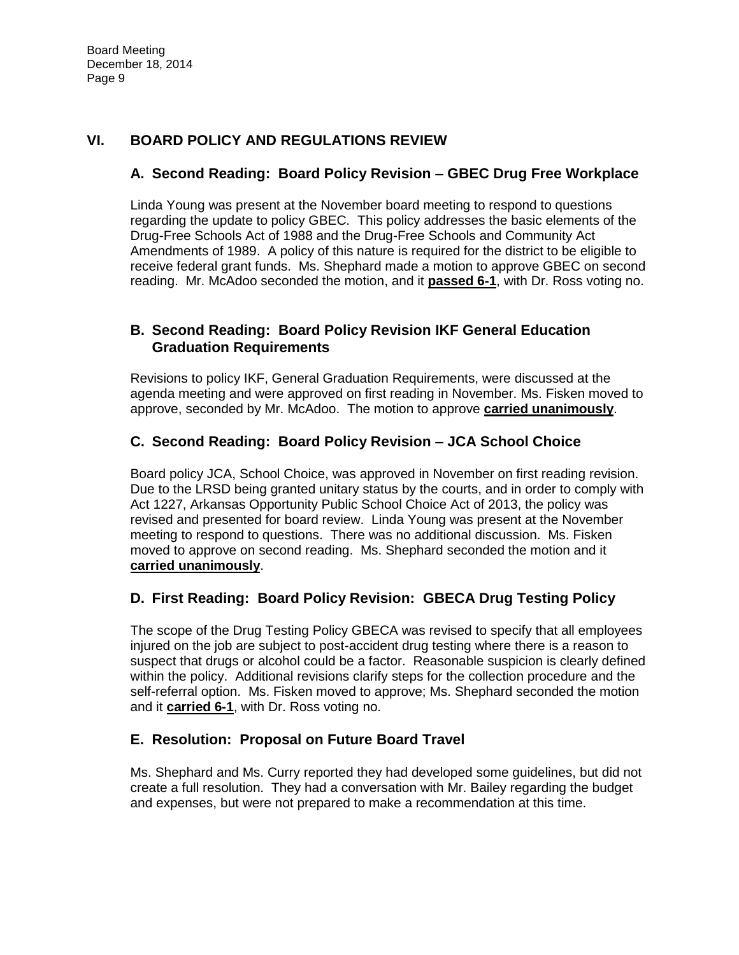## **VI. BOARD POLICY AND REGULATIONS REVIEW**

## **A. Second Reading: Board Policy Revision – GBEC Drug Free Workplace**

Linda Young was present at the November board meeting to respond to questions regarding the update to policy GBEC. This policy addresses the basic elements of the Drug-Free Schools Act of 1988 and the Drug-Free Schools and Community Act Amendments of 1989. A policy of this nature is required for the district to be eligible to receive federal grant funds. Ms. Shephard made a motion to approve GBEC on second reading. Mr. McAdoo seconded the motion, and it **passed 6-1**, with Dr. Ross voting no.

## **B. Second Reading: Board Policy Revision IKF General Education Graduation Requirements**

Revisions to policy IKF, General Graduation Requirements, were discussed at the agenda meeting and were approved on first reading in November. Ms. Fisken moved to approve, seconded by Mr. McAdoo. The motion to approve **carried unanimously**.

## **C. Second Reading: Board Policy Revision – JCA School Choice**

Board policy JCA, School Choice, was approved in November on first reading revision. Due to the LRSD being granted unitary status by the courts, and in order to comply with Act 1227, Arkansas Opportunity Public School Choice Act of 2013, the policy was revised and presented for board review. Linda Young was present at the November meeting to respond to questions. There was no additional discussion. Ms. Fisken moved to approve on second reading. Ms. Shephard seconded the motion and it **carried unanimously**.

### **D. First Reading: Board Policy Revision: GBECA Drug Testing Policy**

The scope of the Drug Testing Policy GBECA was revised to specify that all employees injured on the job are subject to post-accident drug testing where there is a reason to suspect that drugs or alcohol could be a factor. Reasonable suspicion is clearly defined within the policy. Additional revisions clarify steps for the collection procedure and the self-referral option. Ms. Fisken moved to approve; Ms. Shephard seconded the motion and it **carried 6-1**, with Dr. Ross voting no.

# **E. Resolution: Proposal on Future Board Travel**

Ms. Shephard and Ms. Curry reported they had developed some guidelines, but did not create a full resolution. They had a conversation with Mr. Bailey regarding the budget and expenses, but were not prepared to make a recommendation at this time.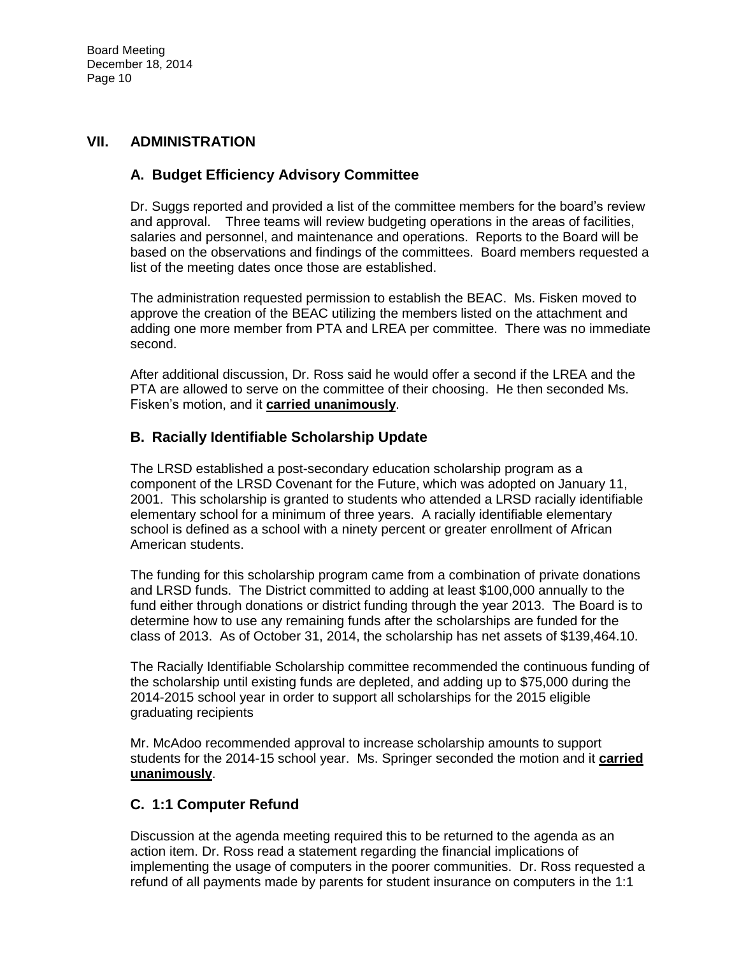## **VII. ADMINISTRATION**

## **A. Budget Efficiency Advisory Committee**

Dr. Suggs reported and provided a list of the committee members for the board's review and approval. Three teams will review budgeting operations in the areas of facilities, salaries and personnel, and maintenance and operations. Reports to the Board will be based on the observations and findings of the committees. Board members requested a list of the meeting dates once those are established.

The administration requested permission to establish the BEAC. Ms. Fisken moved to approve the creation of the BEAC utilizing the members listed on the attachment and adding one more member from PTA and LREA per committee. There was no immediate second.

After additional discussion, Dr. Ross said he would offer a second if the LREA and the PTA are allowed to serve on the committee of their choosing. He then seconded Ms. Fisken's motion, and it **carried unanimously**.

### **B. Racially Identifiable Scholarship Update**

The LRSD established a post-secondary education scholarship program as a component of the LRSD Covenant for the Future, which was adopted on January 11, 2001. This scholarship is granted to students who attended a LRSD racially identifiable elementary school for a minimum of three years. A racially identifiable elementary school is defined as a school with a ninety percent or greater enrollment of African American students.

The funding for this scholarship program came from a combination of private donations and LRSD funds. The District committed to adding at least \$100,000 annually to the fund either through donations or district funding through the year 2013. The Board is to determine how to use any remaining funds after the scholarships are funded for the class of 2013. As of October 31, 2014, the scholarship has net assets of \$139,464.10.

The Racially Identifiable Scholarship committee recommended the continuous funding of the scholarship until existing funds are depleted, and adding up to \$75,000 during the 2014-2015 school year in order to support all scholarships for the 2015 eligible graduating recipients

Mr. McAdoo recommended approval to increase scholarship amounts to support students for the 2014-15 school year. Ms. Springer seconded the motion and it **carried unanimously**.

### **C. 1:1 Computer Refund**

Discussion at the agenda meeting required this to be returned to the agenda as an action item. Dr. Ross read a statement regarding the financial implications of implementing the usage of computers in the poorer communities. Dr. Ross requested a refund of all payments made by parents for student insurance on computers in the 1:1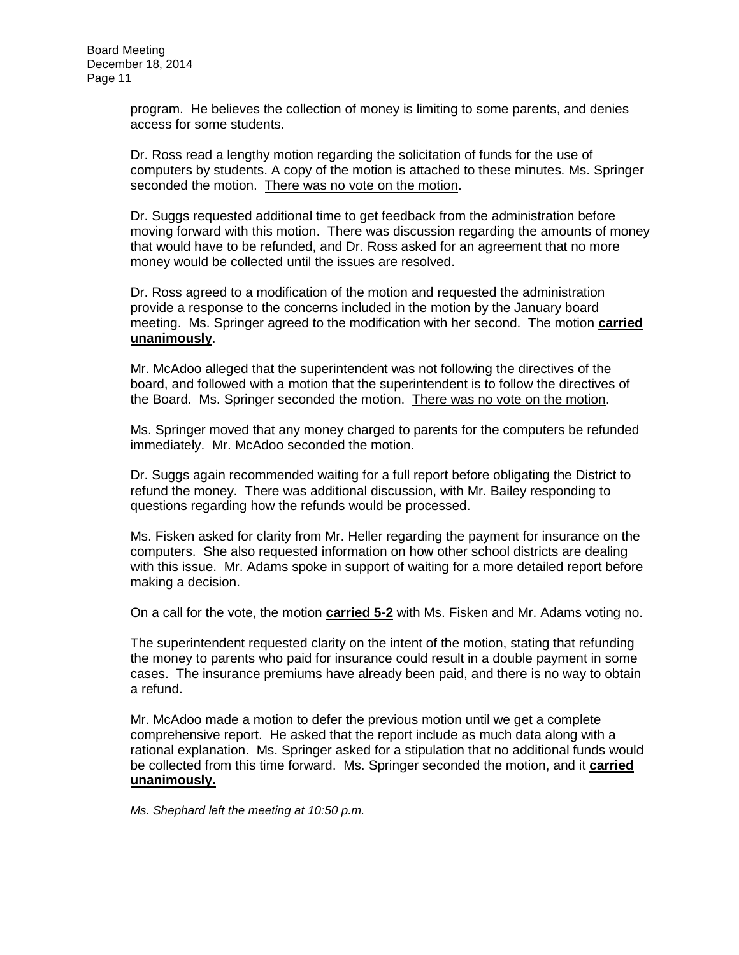program. He believes the collection of money is limiting to some parents, and denies access for some students.

Dr. Ross read a lengthy motion regarding the solicitation of funds for the use of computers by students. A copy of the motion is attached to these minutes. Ms. Springer seconded the motion. There was no vote on the motion.

Dr. Suggs requested additional time to get feedback from the administration before moving forward with this motion. There was discussion regarding the amounts of money that would have to be refunded, and Dr. Ross asked for an agreement that no more money would be collected until the issues are resolved.

Dr. Ross agreed to a modification of the motion and requested the administration provide a response to the concerns included in the motion by the January board meeting. Ms. Springer agreed to the modification with her second. The motion **carried unanimously**.

Mr. McAdoo alleged that the superintendent was not following the directives of the board, and followed with a motion that the superintendent is to follow the directives of the Board. Ms. Springer seconded the motion. There was no vote on the motion.

Ms. Springer moved that any money charged to parents for the computers be refunded immediately. Mr. McAdoo seconded the motion.

Dr. Suggs again recommended waiting for a full report before obligating the District to refund the money. There was additional discussion, with Mr. Bailey responding to questions regarding how the refunds would be processed.

Ms. Fisken asked for clarity from Mr. Heller regarding the payment for insurance on the computers. She also requested information on how other school districts are dealing with this issue. Mr. Adams spoke in support of waiting for a more detailed report before making a decision.

On a call for the vote, the motion **carried 5-2** with Ms. Fisken and Mr. Adams voting no.

The superintendent requested clarity on the intent of the motion, stating that refunding the money to parents who paid for insurance could result in a double payment in some cases. The insurance premiums have already been paid, and there is no way to obtain a refund.

Mr. McAdoo made a motion to defer the previous motion until we get a complete comprehensive report. He asked that the report include as much data along with a rational explanation. Ms. Springer asked for a stipulation that no additional funds would be collected from this time forward. Ms. Springer seconded the motion, and it **carried unanimously.** 

*Ms. Shephard left the meeting at 10:50 p.m.*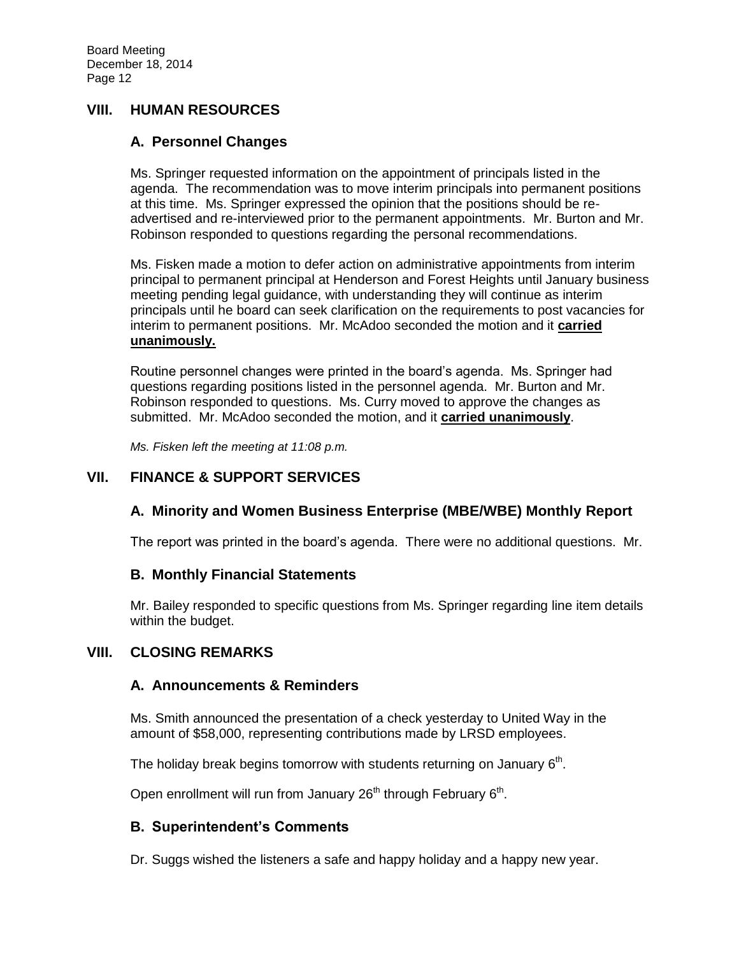#### **VIII. HUMAN RESOURCES**

#### **A. Personnel Changes**

Ms. Springer requested information on the appointment of principals listed in the agenda. The recommendation was to move interim principals into permanent positions at this time. Ms. Springer expressed the opinion that the positions should be readvertised and re-interviewed prior to the permanent appointments. Mr. Burton and Mr. Robinson responded to questions regarding the personal recommendations.

Ms. Fisken made a motion to defer action on administrative appointments from interim principal to permanent principal at Henderson and Forest Heights until January business meeting pending legal guidance, with understanding they will continue as interim principals until he board can seek clarification on the requirements to post vacancies for interim to permanent positions. Mr. McAdoo seconded the motion and it **carried unanimously.**

Routine personnel changes were printed in the board's agenda. Ms. Springer had questions regarding positions listed in the personnel agenda. Mr. Burton and Mr. Robinson responded to questions. Ms. Curry moved to approve the changes as submitted. Mr. McAdoo seconded the motion, and it **carried unanimously**.

*Ms. Fisken left the meeting at 11:08 p.m.*

## **VII. FINANCE & SUPPORT SERVICES**

### **A. Minority and Women Business Enterprise (MBE/WBE) Monthly Report**

The report was printed in the board's agenda. There were no additional questions. Mr.

#### **B. Monthly Financial Statements**

Mr. Bailey responded to specific questions from Ms. Springer regarding line item details within the budget.

#### **VIII. CLOSING REMARKS**

#### **A. Announcements & Reminders**

Ms. Smith announced the presentation of a check yesterday to United Way in the amount of \$58,000, representing contributions made by LRSD employees.

The holiday break begins tomorrow with students returning on January  $6<sup>th</sup>$ .

Open enrollment will run from January 26<sup>th</sup> through February 6<sup>th</sup>.

#### **B. Superintendent's Comments**

Dr. Suggs wished the listeners a safe and happy holiday and a happy new year.